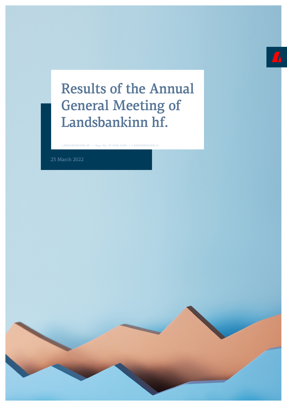# Results of the Annual General Meeting of Landsbankinn hf.

LANDSBANKINN HF. | Reg. No. 471008 0280 | LANDSBANKINN.IS

23 March 2022

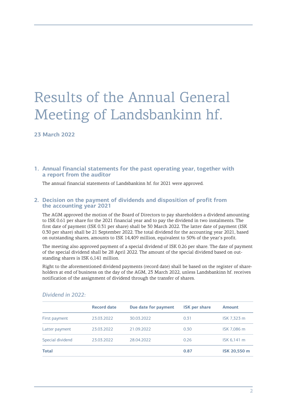# Results of the Annual General Meeting of Landsbankinn hf.

# **23 March 2022**

### **1. Annual financial statements for the past operating year, together with a report from the auditor**

The annual financial statements of Landsbankinn hf. for 2021 were approved.

#### **2. Decision on the payment of dividends and disposition of profit from the accounting year 2021**

The AGM approved the motion of the Board of Directors to pay shareholders a dividend amounting to ISK 0.61 per share for the 2021 financial year and to pay the dividend in two instalments. The first date of payment (ISK 0.31 per share) shall be 30 March 2022. The latter date of payment (ISK 0.30 per share) shall be 21 September 2022. The total dividend for the accounting year 2021, based on outstanding shares, amounts to ISK 14,409 million, equivalent to 50% of the year's profit.

The meeting also approved payment of a special dividend of ISK 0.26 per share. The date of payment of the special dividend shall be 28 April 2022. The amount of the special dividend based on outstanding shares is ISK 6,141 million.

Right to the aforementioned dividend payments (record date) shall be based on the register of shareholders at end of business on the day of the AGM, 23 March 2022, unless Landsbankinn hf. receives notification of the assignment of dividend through the transfer of shares.

|                  | <b>Record date</b> | Due date for payment | <b>ISK per share</b> | <b>Amount</b> |
|------------------|--------------------|----------------------|----------------------|---------------|
| First payment    | 23.03.2022         | 30.03.2022           | 0.31                 | ISK 7,323 m   |
| Latter payment   | 23.03.2022         | 21.09.2022           | 0.30                 | ISK 7,086 m   |
| Special dividend | 23.03.2022         | 28.04.2022           | 0.26                 | ISK 6,141 m   |
| <b>Total</b>     |                    |                      | 0.87                 | ISK 20,550 m  |

#### *Dividend in 2022:*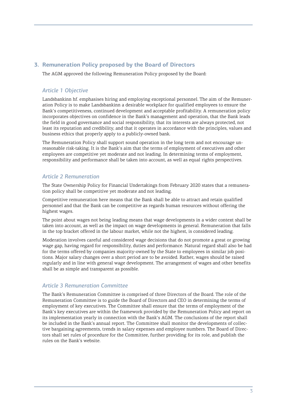# **3. Remuneration Policy proposed by the Board of Directors**

The AGM approved the following Remuneration Policy proposed by the Board:

# *Article 1 Objective*

Landsbankinn hf. emphasises hiring and employing exceptional personnel. The aim of the Remuneration Policy is to make Landsbankinn a desirable workplace for qualified employees to ensure the Bank's competitiveness, continued development and acceptable profitability. A remuneration policy incorporates objectives on confidence in the Bank's management and operation, that the Bank leads the field in good governance and social responsibility, that its interests are always protected, not least its reputation and credibility, and that it operates in accordance with the principles, values and business ethics that properly apply to a publicly-owned bank.

The Remuneration Policy shall support sound operation in the long term and not encourage unreasonable risk-taking. It is the Bank's aim that the terms of employment of executives and other employees are competitive yet moderate and not leading. In determining terms of employment, responsibility and performance shall be taken into account, as well as equal rights perspectives.

# *Article 2 Remuneration*

The State Ownership Policy for Financial Undertakings from February 2020 states that a remuneration policy shall be competitive yet moderate and not leading.

Competitive remuneration here means that the Bank shall be able to attract and retain qualified personnel and that the Bank can be competitive as regards human resources without offering the highest wages.

The point about wages not being leading means that wage developments in a wider context shall be taken into account, as well as the impact on wage developments in general. Remuneration that falls in the top bracket offered in the labour market, while not the highest, is considered leading.

Moderation involves careful and considered wage decisions that do not promote a great or growing wage gap, having regard for responsibility, duties and performance. Natural regard shall also be had for the terms offered by companies majority-owned by the State to employees in similar job positions. Major salary changes over a short period are to be avoided. Rather, wages should be raised regularly and in line with general wage development. The arrangement of wages and other benefits shall be as simple and transparent as possible.

# *Article 3 Remuneration Committee*

The Bank's Remuneration Committee is comprised of three Directors of the Board. The role of the Remuneration Committee is to guide the Board of Directors and CEO in determining the terms of employment of key executives. The Committee shall ensure that the terms of employment of the Bank's key executives are within the framework provided by the Remuneration Policy and report on its implementation yearly in connection with the Bank's AGM. The conclusions of the report shall be included in the Bank's annual report. The Committee shall monitor the developments of collective bargaining agreements, trends in salary expenses and employee numbers. The Board of Directors shall set rules of procedure for the Committee, further providing for its role, and publish the rules on the Bank's website.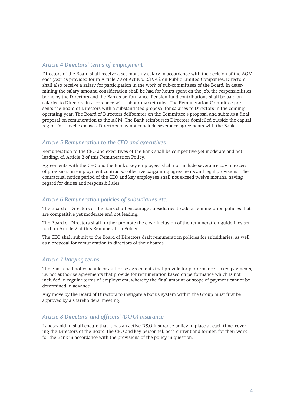# *Article 4 Directors' terms of employment*

Directors of the Board shall receive a set monthly salary in accordance with the decision of the AGM each year as provided for in Article 79 of Act No. 2/1995, on Public Limited Companies. Directors shall also receive a salary for participation in the work of sub-committees of the Board. In determining the salary amount, consideration shall be had for hours spent on the job, the responsibilities borne by the Directors and the Bank's performance. Pension fund contributions shall be paid on salaries to Directors in accordance with labour market rules. The Remuneration Committee presents the Board of Directors with a substantiated proposal for salaries to Directors in the coming operating year. The Board of Directors deliberates on the Committee's proposal and submits a final proposal on remuneration to the AGM. The Bank reimburses Directors domiciled outside the capital region for travel expenses. Directors may not conclude severance agreements with the Bank.

## *Article 5 Remuneration to the CEO and executives*

Remuneration to the CEO and executives of the Bank shall be competitive yet moderate and not leading, cf. Article 2 of this Remuneration Policy.

Agreements with the CEO and the Bank's key employees shall not include severance pay in excess of provisions in employment contracts, collective bargaining agreements and legal provisions. The contractual notice period of the CEO and key employees shall not exceed twelve months, having regard for duties and responsibilities.

# *Article 6 Remuneration policies of subsidiaries etc.*

The Board of Directors of the Bank shall encourage subsidiaries to adopt remuneration policies that are competitive yet moderate and not leading.

The Board of Directors shall further promote the clear inclusion of the remuneration guidelines set forth in Article 2 of this Remuneration Policy.

The CEO shall submit to the Board of Directors draft remuneration policies for subsidiaries, as well as a proposal for remuneration to directors of their boards.

#### *Article 7 Varying terms*

The Bank shall not conclude or authorise agreements that provide for performance-linked payments, i.e. not authorise agreements that provide for remuneration based on performance which is not included in regular terms of employment, whereby the final amount or scope of payment cannot be determined in advance.

Any move by the Board of Directors to instigate a bonus system within the Group must first be approved by a shareholders' meeting.

#### *Article 8 Directors' and officers' (D&O) insurance*

Landsbankinn shall ensure that it has an active D&O insurance policy in place at each time, covering the Directors of the Board, the CEO and key personnel, both current and former, for their work for the Bank in accordance with the provisions of the policy in question.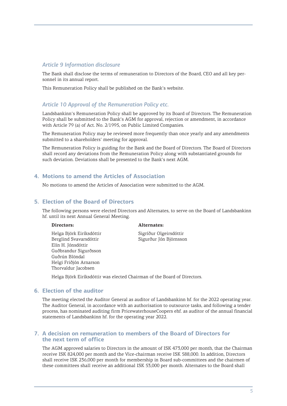### *Article 9 Information disclosure*

The Bank shall disclose the terms of remuneration to Directors of the Board, CEO and all key personnel in its annual report.

This Remuneration Policy shall be published on the Bank's website.

## *Article 10 Approval of the Remuneration Policy etc.*

Landsbankinn's Remuneration Policy shall be approved by its Board of Directors. The Remuneration Policy shall be submitted to the Bank's AGM for approval, rejection or amendment, in accordance with Article 79 (a) of Act. No. 2/1995, on Public Limited Companies.

The Remuneration Policy may be reviewed more frequently than once yearly and any amendments submitted to a shareholders' meeting for approval.

The Remuneration Policy is guiding for the Bank and the Board of Directors. The Board of Directors shall record any deviations from the Remuneration Policy along with substantiated grounds for such deviation. Deviations shall be presented to the Bank's next AGM.

#### **4. Motions to amend the Articles of Association**

No motions to amend the Articles of Association were submitted to the AGM.

#### **5. Election of the Board of Directors**

The following persons were elected Directors and Alternates, to serve on the Board of Landsbankinn hf. until its next Annual General Meeting.

Helga Björk Eiríksdóttir Sigríður Olgeirsdóttir Berglind Svavarsdóttir Sigurður Jón Björnsson Elín H. Jónsdóttir Guðbrandur Sigurðsson Guðrún Blöndal Helgi Friðjón Arnarson Thorvaldur Jacobsen

#### **Directors: Alternates:**

Helga Björk Eiríksdóttir was elected Chairman of the Board of Directors.

#### **6. Election of the auditor**

The meeting elected the Auditor General as auditor of Landsbankinn hf. for the 2022 operating year. The Auditor General, in accordance with an authorisation to outsource tasks, and following a tender process, has nominated auditing firm PricewaterhouseCoopers ehf. as auditor of the annual financial statements of Landsbankinn hf. for the operating year 2022.

#### **7. A decision on remuneration to members of the Board of Directors for the next term of office**

The AGM approved salaries to Directors in the amount of ISK 473,000 per month, that the Chairman receive ISK 824,000 per month and the Vice-chairman receive ISK 588,000. In addition, Directors shall receive ISK 236,000 per month for membership in Board sub-committees and the chairmen of these committees shall receive an additional ISK 53,000 per month. Alternates to the Board shall